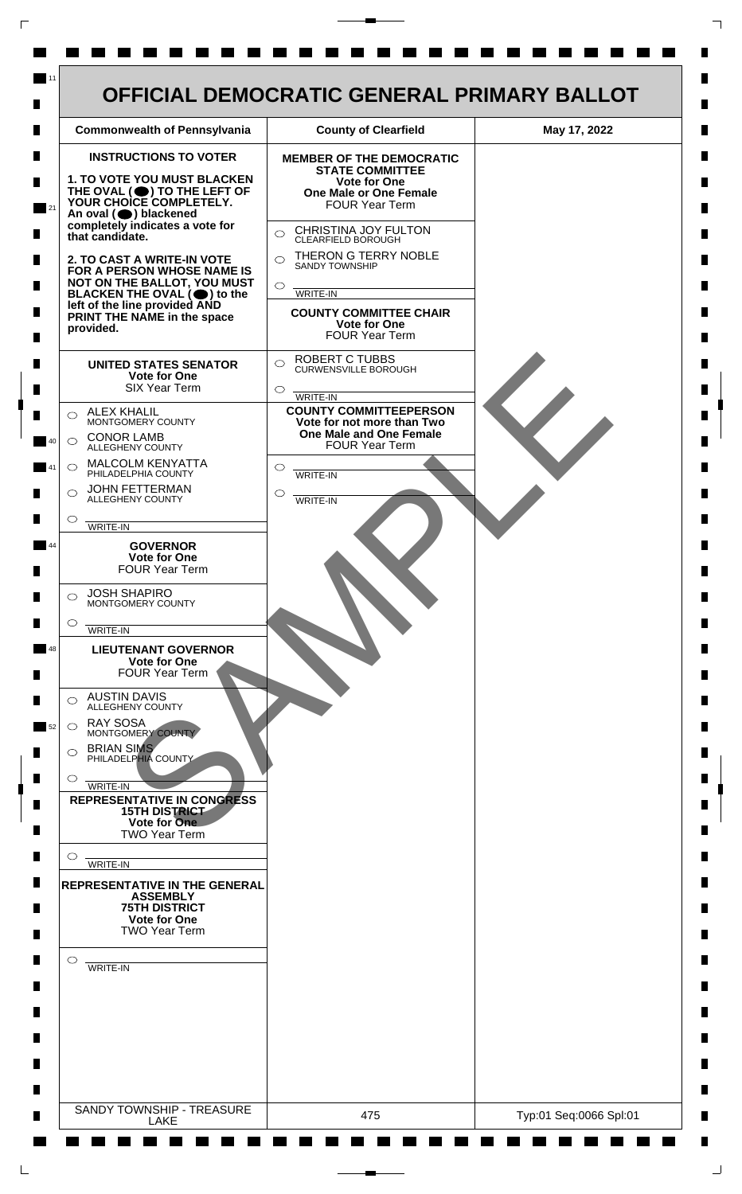

 $\mathsf{L}$ 

 $\Box$